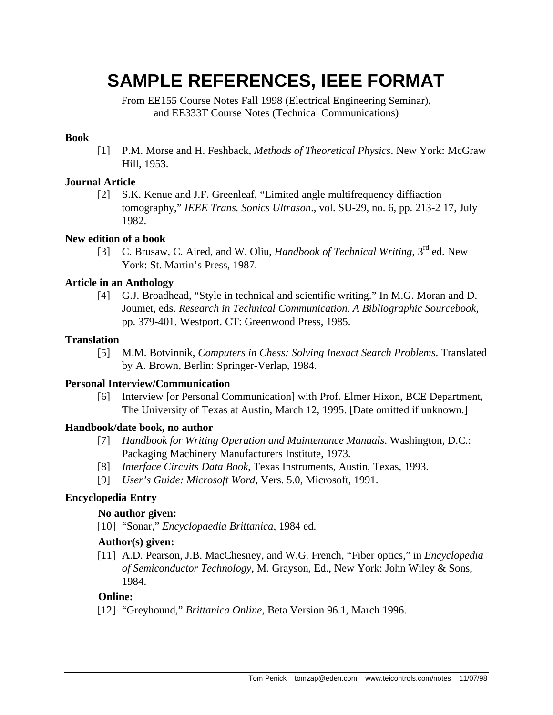# **SAMPLE REFERENCES, IEEE FORMAT**

From EE155 Course Notes Fall 1998 (Electrical Engineering Seminar), and EE333T Course Notes (Technical Communications)

# **Book**

[1] P.M. Morse and H. Feshback, *Methods of Theoretical Physics*. New York: McGraw Hill, 1953.

#### **Journal Article**

[2] S.K. Kenue and J.F. Greenleaf, "Limited angle multifrequency diffiaction tomography," *IEEE Trans. Sonics Ultrason*., vol. SU-29, no. 6, pp. 213-2 17, July 1982.

#### **New edition of a book**

[3] C. Brusaw, C. Aired, and W. Oliu, *Handbook of Technical Writing*, 3rd ed. New York: St. Martin's Press, 1987.

#### **Article in an Anthology**

[4] G.J. Broadhead, "Style in technical and scientific writing." In M.G. Moran and D. Joumet, eds. *Research in Technical Communication. A Bibliographic Sourcebook*, pp. 379-401. Westport. CT: Greenwood Press, 1985.

#### **Translation**

[5] M.M. Botvinnik, *Computers in Chess: Solving Inexact Search Problems*. Translated by A. Brown, Berlin: Springer-Verlap, 1984.

# **Personal Interview/Communication**

[6] Interview [or Personal Communication] with Prof. Elmer Hixon, BCE Department, The University of Texas at Austin, March 12, 1995. [Date omitted if unknown.]

# **Handbook/date book, no author**

- [7] *Handbook for Writing Operation and Maintenance Manuals*. Washington, D.C.: Packaging Machinery Manufacturers Institute, 1973.
- [8] *Interface Circuits Data Book*, Texas Instruments, Austin, Texas, 1993.
- [9] *User's Guide: Microsoft Word*, Vers. 5.0, Microsoft, 1991.

# **Encyclopedia Entry**

# **No author given:**

[10] "Sonar," *Encyclopaedia Brittanica*, 1984 ed.

# **Author(s) given:**

[11] A.D. Pearson, J.B. MacChesney, and W.G. French, "Fiber optics," in *Encyclopedia of Semiconductor Technology*, M. Grayson, Ed., New York: John Wiley & Sons, 1984.

# **Online:**

[12] "Greyhound," *Brittanica Online*, Beta Version 96.1, March 1996.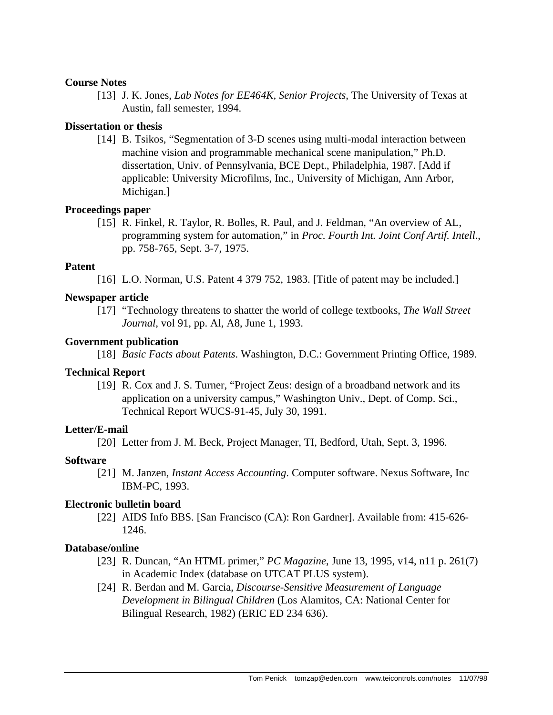#### **Course Notes**

[13] J. K. Jones, *Lab Notes for EE464K, Senior Projects*, The University of Texas at Austin, fall semester, 1994.

#### **Dissertation or thesis**

[14] B. Tsikos, "Segmentation of 3-D scenes using multi-modal interaction between machine vision and programmable mechanical scene manipulation," Ph.D. dissertation, Univ. of Pennsylvania, BCE Dept., Philadelphia, 1987. [Add if applicable: University Microfilms, Inc., University of Michigan, Ann Arbor, Michigan.]

#### **Proceedings paper**

[15] R. Finkel, R. Taylor, R. Bolles, R. Paul, and J. Feldman, "An overview of AL, programming system for automation," in *Proc. Fourth Int. Joint Conf Artif. Intell*., pp. 758-765, Sept. 3-7, 1975.

#### **Patent**

[16] L.O. Norman, U.S. Patent 4 379 752, 1983. [Title of patent may be included.]

#### **Newspaper article**

[17] "Technology threatens to shatter the world of college textbooks, *The Wall Street Journal*, vol 91, pp. Al, A8, June 1, 1993.

#### **Government publication**

[18] *Basic Facts about Patents*. Washington, D.C.: Government Printing Office, 1989.

#### **Technical Report**

[19] R. Cox and J. S. Turner, "Project Zeus: design of a broadband network and its application on a university campus," Washington Univ., Dept. of Comp. Sci., Technical Report WUCS-91-45, July 30, 1991.

# **Letter/E-mail**

[20] Letter from J. M. Beck, Project Manager, TI, Bedford, Utah, Sept. 3, 1996.

# **Software**

[21] M. Janzen, *Instant Access Accounting*. Computer software. Nexus Software, Inc IBM-PC, 1993.

# **Electronic bulletin board**

[22] AIDS Info BBS. [San Francisco (CA): Ron Gardner]. Available from: 415-626- 1246.

#### **Database/online**

- [23] R. Duncan, "An HTML primer," *PC Magazine*, June 13, 1995, v14, n11 p. 261(7) in Academic Index (database on UTCAT PLUS system).
- [24] R. Berdan and M. Garcia, *Discourse-Sensitive Measurement of Language Development in Bilingual Children* (Los Alamitos, CA: National Center for Bilingual Research, 1982) (ERIC ED 234 636).